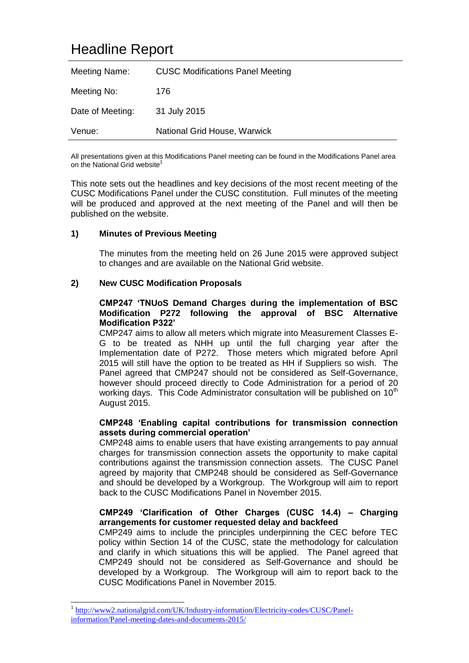# Headline Report

| Meeting Name:    | <b>CUSC Modifications Panel Meeting</b> |
|------------------|-----------------------------------------|
| Meeting No:      | 176                                     |
| Date of Meeting: | 31 July 2015                            |
| Venue:           | National Grid House, Warwick            |

All presentations given at this Modifications Panel meeting can be found in the Modifications Panel area on the National Grid website<sup>1</sup>

This note sets out the headlines and key decisions of the most recent meeting of the CUSC Modifications Panel under the CUSC constitution. Full minutes of the meeting will be produced and approved at the next meeting of the Panel and will then be published on the website.

# **1) Minutes of Previous Meeting**

The minutes from the meeting held on 26 June 2015 were approved subject to changes and are available on the National Grid website.

# **2) New CUSC Modification Proposals**

#### **CMP247 'TNUoS Demand Charges during the implementation of BSC Modification P272 following the approval of BSC Alternative Modification P322'**

CMP247 aims to allow all meters which migrate into Measurement Classes E-G to be treated as NHH up until the full charging year after the Implementation date of P272. Those meters which migrated before April 2015 will still have the option to be treated as HH if Suppliers so wish. The Panel agreed that CMP247 should not be considered as Self-Governance, however should proceed directly to Code Administration for a period of 20 working days. This Code Administrator consultation will be published on 10<sup>th</sup> August 2015.

#### **CMP248 'Enabling capital contributions for transmission connection assets during commercial operation'**

CMP248 aims to enable users that have existing arrangements to pay annual charges for transmission connection assets the opportunity to make capital contributions against the transmission connection assets. The CUSC Panel agreed by majority that CMP248 should be considered as Self-Governance and should be developed by a Workgroup. The Workgroup will aim to report back to the CUSC Modifications Panel in November 2015.

# **CMP249 'Clarification of Other Charges (CUSC 14.4) – Charging arrangements for customer requested delay and backfeed**

CMP249 aims to include the principles underpinning the CEC before TEC policy within Section 14 of the CUSC, state the methodology for calculation and clarify in which situations this will be applied. The Panel agreed that CMP249 should not be considered as Self-Governance and should be developed by a Workgroup. The Workgroup will aim to report back to the CUSC Modifications Panel in November 2015.

-

<sup>1</sup> [http://www2.nationalgrid.com/UK/Industry-information/Electricity-codes/CUSC/Panel](http://www2.nationalgrid.com/UK/Industry-information/Electricity-codes/CUSC/Panel-information/Panel-meeting-dates-and-documents-2015/)[information/Panel-meeting-dates-and-documents-2015/](http://www2.nationalgrid.com/UK/Industry-information/Electricity-codes/CUSC/Panel-information/Panel-meeting-dates-and-documents-2015/)